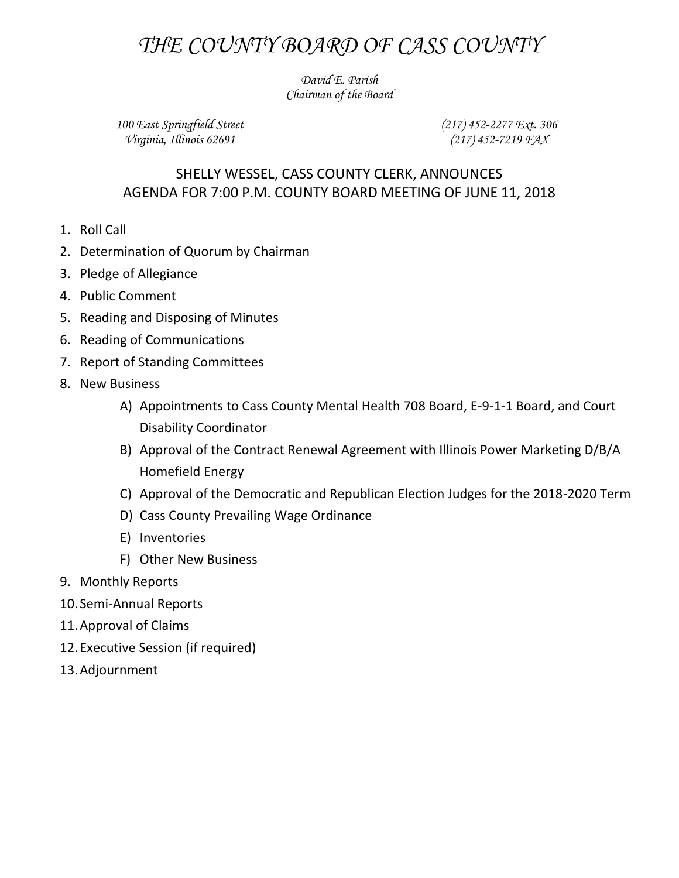## *THE COUNTY BOARD OF CASS COUNTY*

*David E. Parish Chairman of the Board*

*100 East Springfield Street Virginia, Illinois 62691*

*(217) 452-2277 Ext. 306 (217) 452-7219 FAX*

## SHELLY WESSEL, CASS COUNTY CLERK, ANNOUNCES AGENDA FOR 7:00 P.M. COUNTY BOARD MEETING OF JUNE 11, 2018

- 1. Roll Call
- 2. Determination of Quorum by Chairman
- 3. Pledge of Allegiance
- 4. Public Comment
- 5. Reading and Disposing of Minutes
- 6. Reading of Communications
- 7. Report of Standing Committees
- 8. New Business
	- A) Appointments to Cass County Mental Health 708 Board, E-9-1-1 Board, and Court Disability Coordinator
	- B) Approval of the Contract Renewal Agreement with Illinois Power Marketing D/B/A Homefield Energy
	- C) Approval of the Democratic and Republican Election Judges for the 2018-2020 Term
	- D) Cass County Prevailing Wage Ordinance
	- E) Inventories
	- F) Other New Business
- 9. Monthly Reports
- 10. Semi-Annual Reports
- 11.Approval of Claims
- 12.Executive Session (if required)
- 13.Adjournment